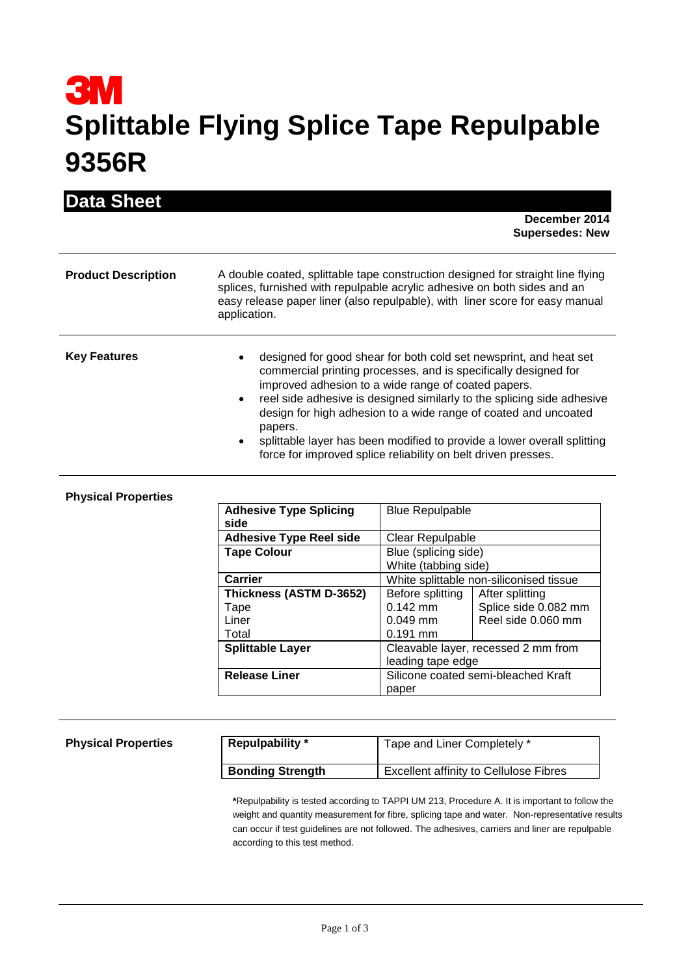## **3M Splittable Flying Splice Tape Repulpable 9356R**

| <b>Data Sheet</b>          | December 2014<br><b>Supersedes: New</b>                                                                                                                                                                                                                                                                                                                                                                                                                                                                                   |  |
|----------------------------|---------------------------------------------------------------------------------------------------------------------------------------------------------------------------------------------------------------------------------------------------------------------------------------------------------------------------------------------------------------------------------------------------------------------------------------------------------------------------------------------------------------------------|--|
| <b>Product Description</b> | A double coated, splittable tape construction designed for straight line flying<br>splices, furnished with repulpable acrylic adhesive on both sides and an<br>easy release paper liner (also repulpable), with liner score for easy manual<br>application.                                                                                                                                                                                                                                                               |  |
| <b>Key Features</b>        | designed for good shear for both cold set newsprint, and heat set<br>commercial printing processes, and is specifically designed for<br>improved adhesion to a wide range of coated papers.<br>reel side adhesive is designed similarly to the splicing side adhesive<br>$\bullet$<br>design for high adhesion to a wide range of coated and uncoated<br>papers.<br>splittable layer has been modified to provide a lower overall splitting<br>$\bullet$<br>force for improved splice reliability on belt driven presses. |  |

## **Physical Properties**

| <b>Adhesive Type Splicing</b><br>side | <b>Blue Repulpable</b> |                                         |
|---------------------------------------|------------------------|-----------------------------------------|
| <b>Adhesive Type Reel side</b>        | Clear Repulpable       |                                         |
| <b>Tape Colour</b>                    | Blue (splicing side)   |                                         |
|                                       | White (tabbing side)   |                                         |
| Carrier                               |                        | White splittable non-siliconised tissue |
| Thickness (ASTM D-3652)               | Before splitting       | After splitting                         |
| Tape                                  | $0.142$ mm             | Splice side 0.082 mm                    |
| Liner                                 | $0.049$ mm             | Reel side 0.060 mm                      |
| Total                                 | $0.191$ mm             |                                         |
| <b>Splittable Layer</b>               |                        | Cleavable layer, recessed 2 mm from     |
|                                       | leading tape edge      |                                         |
| <b>Release Liner</b>                  |                        | Silicone coated semi-bleached Kraft     |
|                                       | paper                  |                                         |

## **Physical Properties**

| <b>Repulpability</b> *  | Tape and Liner Completely *                   |
|-------------------------|-----------------------------------------------|
| <b>Bonding Strength</b> | <b>Excellent affinity to Cellulose Fibres</b> |

**\***Repulpability is tested according to TAPPI UM 213, Procedure A. It is important to follow the weight and quantity measurement for fibre, splicing tape and water. Non-representative results can occur if test guidelines are not followed. The adhesives, carriers and liner are repulpable according to this test method.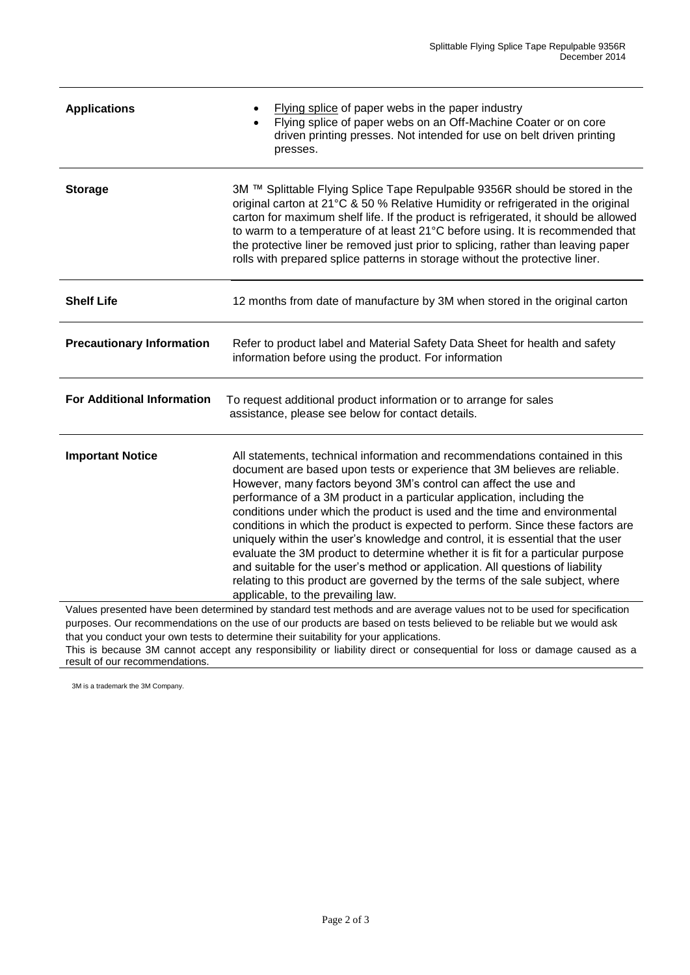| <b>Applications</b>                                                                                                                                                                                                                                                                                                                     | Flying splice of paper webs in the paper industry<br>Flying splice of paper webs on an Off-Machine Coater or on core<br>driven printing presses. Not intended for use on belt driven printing<br>presses.                                                                                                                                                                                                                                                                                                                                                                                                                                                                                                                                                                                                                                             |  |
|-----------------------------------------------------------------------------------------------------------------------------------------------------------------------------------------------------------------------------------------------------------------------------------------------------------------------------------------|-------------------------------------------------------------------------------------------------------------------------------------------------------------------------------------------------------------------------------------------------------------------------------------------------------------------------------------------------------------------------------------------------------------------------------------------------------------------------------------------------------------------------------------------------------------------------------------------------------------------------------------------------------------------------------------------------------------------------------------------------------------------------------------------------------------------------------------------------------|--|
| <b>Storage</b>                                                                                                                                                                                                                                                                                                                          | 3M ™ Splittable Flying Splice Tape Repulpable 9356R should be stored in the<br>original carton at 21°C & 50 % Relative Humidity or refrigerated in the original<br>carton for maximum shelf life. If the product is refrigerated, it should be allowed<br>to warm to a temperature of at least 21°C before using. It is recommended that<br>the protective liner be removed just prior to splicing, rather than leaving paper<br>rolls with prepared splice patterns in storage without the protective liner.                                                                                                                                                                                                                                                                                                                                         |  |
| <b>Shelf Life</b>                                                                                                                                                                                                                                                                                                                       | 12 months from date of manufacture by 3M when stored in the original carton                                                                                                                                                                                                                                                                                                                                                                                                                                                                                                                                                                                                                                                                                                                                                                           |  |
| <b>Precautionary Information</b>                                                                                                                                                                                                                                                                                                        | Refer to product label and Material Safety Data Sheet for health and safety<br>information before using the product. For information                                                                                                                                                                                                                                                                                                                                                                                                                                                                                                                                                                                                                                                                                                                  |  |
| <b>For Additional Information</b>                                                                                                                                                                                                                                                                                                       | To request additional product information or to arrange for sales<br>assistance, please see below for contact details.                                                                                                                                                                                                                                                                                                                                                                                                                                                                                                                                                                                                                                                                                                                                |  |
| <b>Important Notice</b>                                                                                                                                                                                                                                                                                                                 | All statements, technical information and recommendations contained in this<br>document are based upon tests or experience that 3M believes are reliable.<br>However, many factors beyond 3M's control can affect the use and<br>performance of a 3M product in a particular application, including the<br>conditions under which the product is used and the time and environmental<br>conditions in which the product is expected to perform. Since these factors are<br>uniquely within the user's knowledge and control, it is essential that the user<br>evaluate the 3M product to determine whether it is fit for a particular purpose<br>and suitable for the user's method or application. All questions of liability<br>relating to this product are governed by the terms of the sale subject, where<br>applicable, to the prevailing law. |  |
| Values presented have been determined by standard test methods and are average values not to be used for specification<br>purposes. Our recommendations on the use of our products are based on tests believed to be reliable but we would ask<br>that you conduct your own tests to determine their suitability for your applications. |                                                                                                                                                                                                                                                                                                                                                                                                                                                                                                                                                                                                                                                                                                                                                                                                                                                       |  |

This is because 3M cannot accept any responsibility or liability direct or consequential for loss or damage caused as a result of our recommendations.

3M is a trademark the 3M Company.